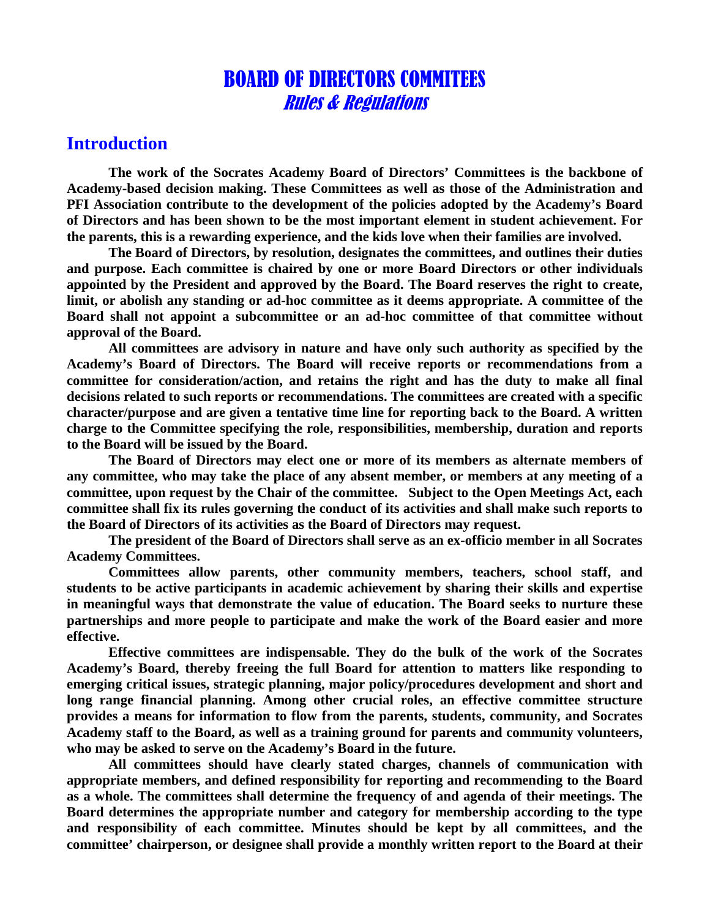# BOARD OF DIRECTORS COMMITEES Rules & Regulations

#### **Introduction**

**The work of the Socrates Academy Board of Directors' Committees is the backbone of Academy-based decision making. These Committees as well as those of the Administration and PFI Association contribute to the development of the policies adopted by the Academy's Board of Directors and has been shown to be the most important element in student achievement. For the parents, this is a rewarding experience, and the kids love when their families are involved.**

**The Board of Directors, by resolution, designates the committees, and outlines their duties and purpose. Each committee is chaired by one or more Board Directors or other individuals appointed by the President and approved by the Board. The Board reserves the right to create, limit, or abolish any standing or ad-hoc committee as it deems appropriate. A committee of the Board shall not appoint a subcommittee or an ad-hoc committee of that committee without approval of the Board.** 

**All committees are advisory in nature and have only such authority as specified by the Academy's Board of Directors. The Board will receive reports or recommendations from a committee for consideration/action, and retains the right and has the duty to make all final decisions related to such reports or recommendations. The committees are created with a specific character/purpose and are given a tentative time line for reporting back to the Board. A written charge to the Committee specifying the role, responsibilities, membership, duration and reports to the Board will be issued by the Board.** 

**The Board of Directors may elect one or more of its members as alternate members of any committee, who may take the place of any absent member, or members at any meeting of a committee, upon request by the Chair of the committee. Subject to the Open Meetings Act, each committee shall fix its rules governing the conduct of its activities and shall make such reports to the Board of Directors of its activities as the Board of Directors may request.** 

**The president of the Board of Directors shall serve as an ex-officio member in all Socrates Academy Committees.** 

**Committees allow parents, other community members, teachers, school staff, and students to be active participants in academic achievement by sharing their skills and expertise in meaningful ways that demonstrate the value of education. The Board seeks to nurture these partnerships and more people to participate and make the work of the Board easier and more effective.** 

**Effective committees are indispensable. They do the bulk of the work of the Socrates Academy's Board, thereby freeing the full Board for attention to matters like responding to emerging critical issues, strategic planning, major policy/procedures development and short and long range financial planning. Among other crucial roles, an effective committee structure provides a means for information to flow from the parents, students, community, and Socrates Academy staff to the Board, as well as a training ground for parents and community volunteers, who may be asked to serve on the Academy's Board in the future.**

**All committees should have clearly stated charges, channels of communication with appropriate members, and defined responsibility for reporting and recommending to the Board as a whole. The committees shall determine the frequency of and agenda of their meetings. The Board determines the appropriate number and category for membership according to the type and responsibility of each committee. Minutes should be kept by all committees, and the committee' chairperson, or designee shall provide a monthly written report to the Board at their**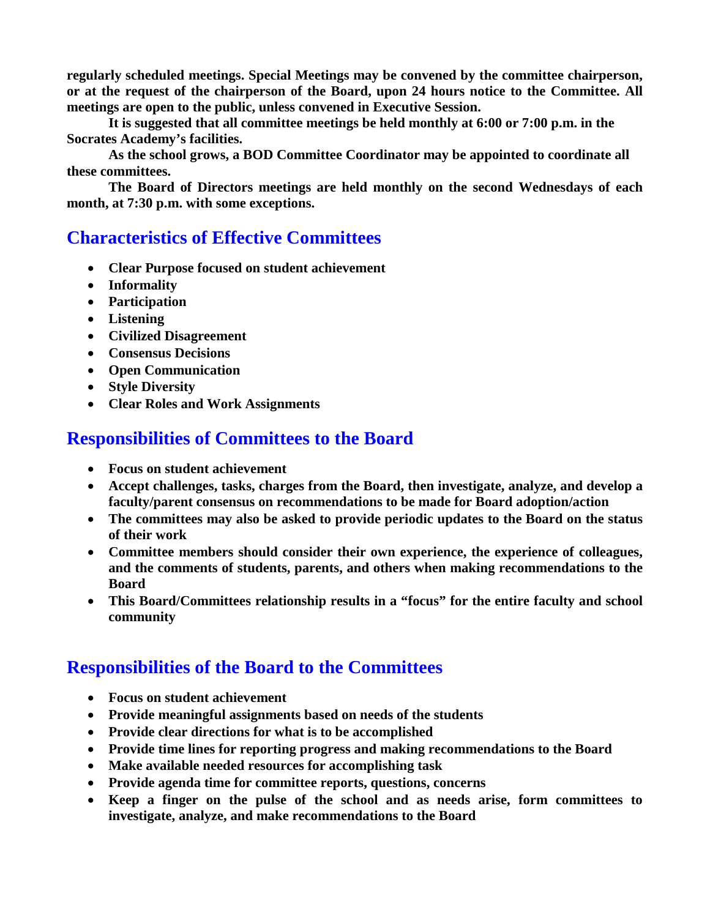**regularly scheduled meetings. Special Meetings may be convened by the committee chairperson, or at the request of the chairperson of the Board, upon 24 hours notice to the Committee. All meetings are open to the public, unless convened in Executive Session.**

**It is suggested that all committee meetings be held monthly at 6:00 or 7:00 p.m. in the Socrates Academy's facilities.** 

**As the school grows, a BOD Committee Coordinator may be appointed to coordinate all these committees.** 

**The Board of Directors meetings are held monthly on the second Wednesdays of each month, at 7:30 p.m. with some exceptions.**

## **Characteristics of Effective Committees**

- **Clear Purpose focused on student achievement**
- **Informality**
- **Participation**
- **Listening**
- **Civilized Disagreement**
- **Consensus Decisions**
- **Open Communication**
- **Style Diversity**
- **Clear Roles and Work Assignments**

#### **Responsibilities of Committees to the Board**

- **Focus on student achievement**
- **Accept challenges, tasks, charges from the Board, then investigate, analyze, and develop a faculty/parent consensus on recommendations to be made for Board adoption/action**
- **The committees may also be asked to provide periodic updates to the Board on the status of their work**
- **Committee members should consider their own experience, the experience of colleagues, and the comments of students, parents, and others when making recommendations to the Board**
- **This Board/Committees relationship results in a "focus" for the entire faculty and school community**

### **Responsibilities of the Board to the Committees**

- **Focus on student achievement**
- **Provide meaningful assignments based on needs of the students**
- **Provide clear directions for what is to be accomplished**
- **Provide time lines for reporting progress and making recommendations to the Board**
- **Make available needed resources for accomplishing task**
- **Provide agenda time for committee reports, questions, concerns**
- **Keep a finger on the pulse of the school and as needs arise, form committees to investigate, analyze, and make recommendations to the Board**